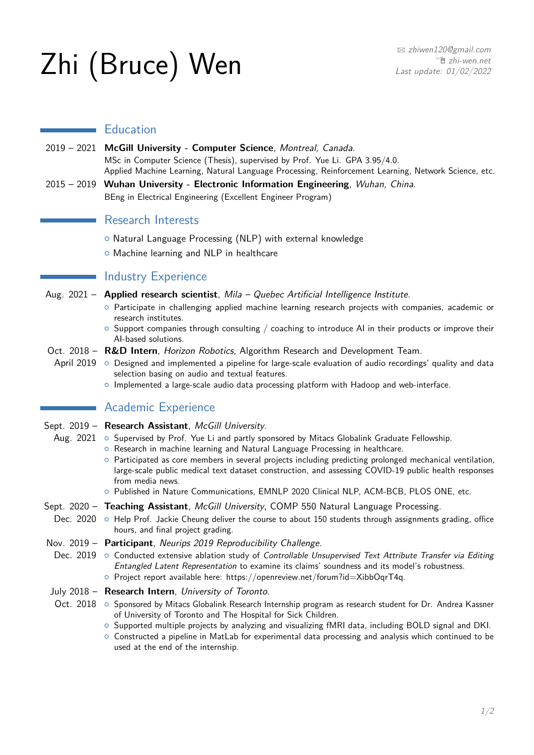# $\mathsf{Zhi}$  (Bruce) Wen B  $\sum_{\text{Last update: } 01/02/2022}$

## **Education**

- 2019 2021 **McGill University Computer Science**, Montreal, Canada. MSc in Computer Science (Thesis), supervised by [Prof. Yue Li.](https://cs.mcgill.ca/~yueli/) GPA 3.95/4.0. Applied Machine Learning, Natural Language Processing, Reinforcement Learning, Network Science, etc.
- 2015 2019 **Wuhan University Electronic Information Engineering**, Wuhan, China. BEng in Electrical Engineering (Excellent Engineer Program)

## Research Interests

- o Natural Language Processing (NLP) with external knowledge
- o Machine learning and NLP in healthcare

## **Industry Experience**

- Aug. 2021 **Applied research scientist**, Mila Quebec Artificial Intelligence Institute.
	- { Participate in challenging applied machine learning research projects with companies, academic or research institutes.
	- $\circ$  Support companies through consulting / coaching to introduce AI in their products or improve their AI-based solutions.
- Oct. 2018 R&D Intern, [Horizon Robotics](http://en.horizon.ai/), Algorithm Research and Development Team.
	- April 2019 o Designed and implemented a pipeline for large-scale evaluation of audio recordings' quality and data selection basing on audio and textual features.
		- $\circ$  Implemented a large-scale audio data processing platform with Hadoop and web-interface.

# **Academic Experience**

- Sept. 2019 **Research Assistant**, McGill University.
	- Aug. 2021 o Supervised by Prof. Yue Li and partly sponsored by Mitacs Globalink Graduate Fellowship.
		- o Research in machine learning and Natural Language Processing in healthcare.
		- $\circ$  Participated as core members in several projects including predicting prolonged mechanical ventilation, large-scale public medical text dataset construction, and assessing COVID-19 public health responses from media news.
		- o Published in Nature Communications, EMNLP 2020 Clinical NLP, ACM-BCB, PLOS ONE, etc.

#### Sept. 2020 - Teaching Assistant, McGill University, COMP 550 Natural Language Processing.

Dec. 2020 o Help Prof. Jackie Cheung deliver the course to about 150 students through assignments grading, office hours, and final project grading.

#### Nov. 2019 – **Participant**, Neurips 2019 Reproducibility Challenge.

- Dec. 2019 o Conducted extensive ablation study of [Controllable Unsupervised Text Attribute Transfer via Editing](https://arxiv.org/abs/1905.12926) [Entangled Latent Representation](https://arxiv.org/abs/1905.12926) to examine its claims' soundness and its model's robustness.
	- { Project report available here: [https://openreview.net/forum?id=XibbOqrT4q.](https://openreview.net/forum?id=XibbOqrT4q)
- July 2018 **Research Intern**, University of Toronto.
- Oct. 2018 o Sponsored by Mitacs Globalink Research Internship program as research student for Dr. Andrea Kassner of University of Toronto and The Hospital for Sick Children.
	- $\circ$  Supported multiple projects by analyzing and visualizing fMRI data, including BOLD signal and DKI.
	- $\circ$  Constructed a pipeline in MatLab for experimental data processing and analysis which continued to be used at the end of the internship.